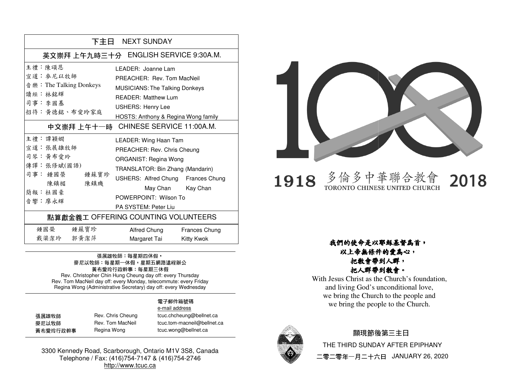| 下主日 NEXT SUNDAY                                                                                     |                                                                                                                                                                                                                                                                             |  |  |
|-----------------------------------------------------------------------------------------------------|-----------------------------------------------------------------------------------------------------------------------------------------------------------------------------------------------------------------------------------------------------------------------------|--|--|
| 英文崇拜 上午九時三十分 ENGLISH SERVICE 9:30A.M.                                                               |                                                                                                                                                                                                                                                                             |  |  |
| 主 ,陳頌恩<br>宣道 · 麥尼以牧師<br>音 樂: The Talking Donkeys<br>讀經:林銘輝<br>司事:李國基<br>招待:黃德銘、布愛玲家庭                | I FADER: Joanne Lam<br>PREACHER: Rev. Tom MacNeil<br><b>MUSICIANS: The Talking Donkeys</b><br><b>READER: Matthew Lum</b><br><b>USHERS: Henry Lee</b><br>HOSTS: Anthony & Regina Wong family<br>中文崇拜上午十一時 CHINESE SERVICE 11:00A.M.                                          |  |  |
| 主禮 : 譚穎嫺<br>宣道: 張展雄牧師<br>司琴:黃布愛玲<br>傳譯:張修斌(國語)<br>司事:鍾國榮 鍾蘇寶珍<br>陳鎮楣<br>陳鎮璣<br>簡報 · 杜國豪<br>音響 · 廖永輝 | LEADER: Wing Haan Tam<br>PREACHER: Rev. Chris Cheung<br><b>ORGANIST: Regina Wong</b><br>TRANSLATOR: Bin Zhang (Mandarin)<br>USHERS: Alfred Chung Frances Chung<br>May Chan Kay Chan<br>POWERPOINT: Wilson To<br>PA SYSTEM: Peter Liu<br>點算獻金義工 OFFERING COUNTING VOLUNTEERS |  |  |
| 鍾國榮 鍾蘇寶珍<br>戴梁潔玲 郭黄潔萍                                                                               | Alfred Chung<br>Frances Chung<br>Margaret Tai<br>Kitty Kwok                                                                                                                                                                                                                 |  |  |

### 張展雄牧師: 每星期四休假, 麥尼以牧師:每星期一休假,星期五網路遠程辦公 黃布愛玲行政幹事:每星期三休假

Rev. Christopher Chin Hung Cheung day off: every Thursday Rev. Tom MacNeil day off: every Monday, telecommute: every Friday Regina Wong (Administrative Secretary) day off: every WednesdayRev. Christopher Chin Hung Cheung day off: every Thursday<br>Rev. Tom MacNeil day off: every Monday, telecommute: every Fr<br>Regina Wong (Administrative Secretary) day off: every Wedneso

#### **電子**郵件箱號碼電子

|          |                   | e-mail address              |
|----------|-------------------|-----------------------------|
| 張展雄牧師    | Rev. Chris Cheung | tcuc.chcheung@bellnet.ca    |
| 麥尼以牧師    | Rev. Tom MacNeil  | tcuc.tom-macneil@bellnet.ca |
| 黃布愛玲行政幹事 | Regina Wong       | tcuc.wong@bellnet.ca        |

3300 Kennedy Road, Scarborough, Ontario M1V 3S8, Canada Telephone / Fax: (416)754-7147 & (416)754-2746http://www.tcuc.ca



多倫多中華聯合教會 2018 1918 TORONTO CHINESE UNITED CHURCH

### 以上帝無條件的愛為心, 把教會帶到人群,把人群帶到教會。

M1V Canada 2746我們的使命是以耶穌基督為首, With Jesus Christ as the Church's foundation, and living God's unconditional love, we bring the Church to the people and we bring the people to the Church.



#### 顯現節後第三主日 THE THIRD SUNDAY AFTER EPIPHANY

二零二零年一月二十六日 JANUARY 26, 2020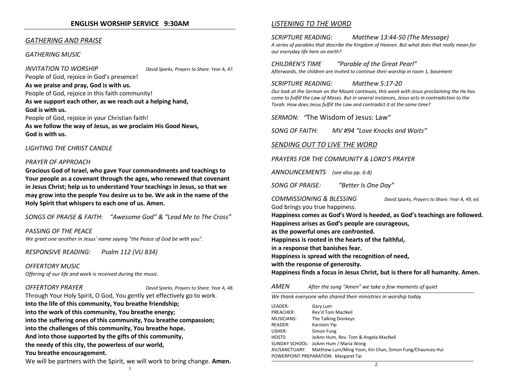#### GATHERING AND PRAISE

#### GATHERING MUSIC

INVITATION TO WORSHIP David Sparks, Prayers to Share: Year A, 47.

People of God, rejoice in God's presence! As we praise and pray, God is with us.People of God, rejoice in this faith community! As we support each other, as we reach out a helping hand, God is with us.People of God, rejoice in your Christian faith! As we follow the way of Jesus, as we proclaim His Good News, God is with us.

#### LIGHTING THE CHRIST CANDLE

#### PRAYER OF APPROACH

Gracious God of Israel, who gave Your commandments and teachings to Your people as a covenant through the ages, who renewed that covenant in Jesus Christ; help us to understand Your teachings in Jesus, so that we may grow into the people You desire us to be. We ask in the name of the Holy Spirit that whispers to each one of us. Amen.

SONGS OF PRAISE & FAITH: "Awesome God" & "Lead Me to The Cross"

PASSING OF THE PEACE We greet one another in Jesus' name saying "the Peace of God be with you".

RESPONSIVE READING: Psalm 112 (VU 834)

OFFERTORY MUSICOffering of our life and work is received during the music.

OFFERTORY PRAYER David Sparks, Prayers to Share: Year A, 48.

Through Your Holy Spirit, O God, You gently yet effectively go to work. Into the life of this community, You breathe friendship; into the work of this community, You breathe energy; into the suffering ones of this community, You breathe compassion; into the challenges of this community, You breathe hope. And into those supported by the gifts of this community, the needy of this city, the powerless of our world,You breathe encouragement. We will be partners with the Spirit, we will work to bring change. Amen. 1

#### LISTENING TO THE WORD

SCRIPTURE READING: Matthew 13:44-50 (The Message) A series of parables that describe the Kingdom of Heaven. But what does that really mean for our everyday life here on earth?

CHILDREN'S TIME "Parable of the Great Pearl" Afterwards, the children are invited to continue their worship in room 1, basement

#### SCRIPTURE READING: Matthew 5:17-20

 Our look at the Sermon on the Mount continues, this week with Jesus proclaiming the He has come to fulfill the Law of Moses. But in several instances, Jesus acts in contradiction to the Torah. How does Jesus fulfill the Law and contradict it at the same time?

SERMON: "The Wisdom of Jesus: Law"

SONG OF FAITH: MV #94 "Love Knocks and Waits"

#### SENDING OUT TO LIVE THE WORD

PRAYERS FOR THE COMMUNITY & LORD'S PRAYER

ANNOUNCEMENTS (see also pp. 6-8)

SONG OF PRAISE: "Better Is One Day"

COMMISSIONING & BLESSING David Sparks, Prayers to Share: Year A, 49, ed.God brings you true happiness.

Happiness comes as God's Word is heeded, as God's teachings are followed. Happiness arises as God's people are courageous, as the powerful ones are confronted. Happiness is rooted in the hearts of the faithful, in a response that banishes fear. Happiness is spread with the recognition of need, with the response of generosity. Happiness finds a focus in Jesus Christ, but is there for all humanity. Amen.

AMENAfter the sung "Amen" we take a few moments of quiet

We thank everyone who shared their ministries in worship today

| LEADER:                              | Gary Lum                                                               |  |
|--------------------------------------|------------------------------------------------------------------------|--|
| PREACHER:                            | Rev'd Tom MacNeil                                                      |  |
| <b>MUSICIANS:</b>                    | The Talking Donkeys                                                    |  |
| READER:                              | Karstein Yip                                                           |  |
| USHER:                               | Simon Fung                                                             |  |
| HOSTS:                               | JoAnn Hum, Rev. Tom & Angela MacNeil                                   |  |
|                                      | SUNDAY SCHOOL: JoAnn Hum / Maria Wong                                  |  |
|                                      | AV/SANCTUARY: Matthew Lum/Ming Yoon, Kin Chan, Simon Fung/Chauncey Hui |  |
| POWERPOINT PREPARATION: Margaret Tai |                                                                        |  |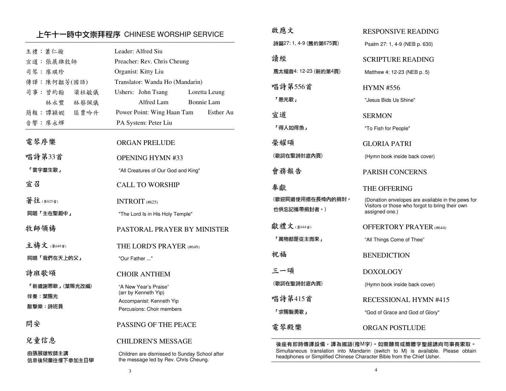### 上午十一時中文崇拜程序 CHINESE WORSHIP SERVICE ─────────────────────────────────────────────────────────────────────────────

3

| 上午十一時中文崇拜程序 CHINESE WORSHIP SERVICE |                                                                                        | 啟應文                             | <b>RESPONSIVE READING</b>                                                                                                                                  |
|-------------------------------------|----------------------------------------------------------------------------------------|---------------------------------|------------------------------------------------------------------------------------------------------------------------------------------------------------|
| 主禮:蕭仁瀚                              | Leader: Alfred Siu                                                                     | 詩篇27: 1, 4-9 (舊約第675頁)          | Psalm 27: 1, 4-9 (NEB p. 630)                                                                                                                              |
| 宣道: 張展雄牧師                           | Preacher: Rev. Chris Cheung                                                            | 讀經                              | <b>SCRIPTURE READING</b>                                                                                                                                   |
| 司琴:廖琪珍                              | Organist: Kitty Liu                                                                    | 馬太福音4:12-23 (新約第4頁)             | Matthew 4: 12-23 (NEB p. 5)                                                                                                                                |
| 傳譯:陳何韞芳(國語)                         | Translator: Wanda Ho (Mandarin)                                                        |                                 |                                                                                                                                                            |
| 司事: 曾約翰<br>梁杜敏儀                     | Ushers: John Tsang<br>Loretta Leung                                                    | 唱詩第556首                         | <b>HYMN #556</b>                                                                                                                                           |
| 林永豐<br>林蔡佩儀                         | Alfred Lam<br>Bonnie Lam                                                               | 「恩光歌」                           | "Jesus Bids Us Shine"                                                                                                                                      |
| 簡報:譚穎嫺<br>區賈吟升                      | Power Point: Wing Haan Tam<br>Esther Au                                                | 宣道                              | <b>SERMON</b>                                                                                                                                              |
| 音響:廖永輝                              | PA System: Peter Liu                                                                   | 「得人如得魚」                         | "To Fish for People"                                                                                                                                       |
| 電琴序樂                                | <b>ORGAN PRELUDE</b>                                                                   | 榮耀頌                             | <b>GLORIA PATRI</b>                                                                                                                                        |
| 唱詩第33首                              | <b>OPENING HYMN #33</b>                                                                | (歌詞在聖詩封底內頁)                     | (Hymn book inside back cover)                                                                                                                              |
| 「寰宇羣生歌」                             | "All Creatures of Our God and King"                                                    | 會務報告                            | PARISH CONCERNS                                                                                                                                            |
| 宣召                                  | <b>CALL TO WORSHIP</b>                                                                 | 奉獻                              | THE OFFERING                                                                                                                                               |
| 著往(第625首)                           | INTROIT $(#625)$                                                                       | (歡迎同道使用插在長椅內的捐封,<br>也供忘記攜帶捐封者。) | (Donation envelopes are available in the pews for<br>Visitors or those who forgot to bring their own                                                       |
| 同唱「主在聖殿中」                           | "The Lord Is in His Holy Temple"                                                       |                                 | assigned one.)                                                                                                                                             |
| 牧師領禱                                | PASTORAL PRAYER BY MINISTER                                                            | 獻禮文(第644首)                      | <b>OFFERTORY PRAYER (#644)</b>                                                                                                                             |
| 主禱文(第649首)                          | THE LORD'S PRAYER (#649)                                                               | 「萬物都是從主而來」                      | "All Things Come of Thee"                                                                                                                                  |
| 同唱「我們在天上的父」                         | "Our Father "                                                                          | 祝福                              | <b>BENEDICTION</b>                                                                                                                                         |
| 詩班歌頌                                | <b>CHOIR ANTHEM</b>                                                                    | 三一頌                             | <b>DOXOLOGY</b>                                                                                                                                            |
| 「新歲謝恩歌」(葉賜光改編)                      | "A New Year's Praise"<br>(arr by Kenneth Yip)                                          | (歌詞在聖詩封底內頁)                     | (Hymn book inside back cover)                                                                                                                              |
| 伴奏:葉賜光                              | Accompanist: Kenneth Yip                                                               | 唱詩第415首                         | RECESSIONAL HYMN #415                                                                                                                                      |
| 敲擊樂詩班員                              | Percusions: Choir members                                                              | 「求賜智勇歌」                         | "God of Grace and God of Glory"                                                                                                                            |
| 問安                                  | PASSING OF THE PEACE                                                                   | 電琴殿樂                            | ORGAN POSTLUDE                                                                                                                                             |
| 兒童信息                                | <b>CHILDREN'S MESSAGE</b>                                                              |                                 | 後座有即時傳譯設備,譯為國語(撥M字)。如需聽筒或簡體字聖經請向司事長索取。                                                                                                                     |
| 由張展雄牧師主講<br>信息後兒童往樓下參加主日學           | Children are dismissed to Sunday School after<br>the message led by Rev. Chris Cheung. |                                 | Simultaneous translation into Mandarin (switch to M) is available. Please obtain<br>headphones or Simplified Chinese Character Bible from the Chief Usher. |

啟應文

4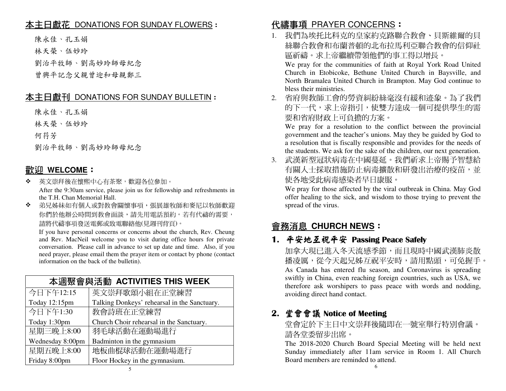# 本主日獻花 DONATIONS FOR SUNDAY FLOWERS:

陳永佳、孔玉娟

林天榮、伍妙玲

劉治平牧師、劉高妙玲師母紀念

曾興平記念父親曾迎和母親鄭三

### 本主日獻刊 DONATIONS FOR SUNDAY BULLETIN:

陳永佳、孔玉娟

林天榮、伍妙玲

何荇芳

劉治平牧師、劉高妙玲師母紀念

### <u>歡迎 WELCOME</u>:<br>◆ <sup>黄文農拜後左懷熙</sup>

- $\mathbf{r}_{\mathbf{a}}^{\mathbf{a}}$  . 英文崇拜後在懷熙中心有茶聚,歡迎各位參加。 After the 9:30am service, please join us for fellowship and refreshments in the T.H. Chan Memorial Hall.
- ◆ 弟兄姊妹如有個人或對教會關懷事項,張展雄牧師和麥尼以牧師歡迎  $\mathbf{r}_{\mathbf{a}}^{\mathbf{a}}$ 你們於他辦公時間到教會面談,請先用電話預約。若有代禱的需要, 請將代禱事項發送電郵或致電聯絡他(見週刊背頁)。

 If you have personal concerns or concerns about the church, Rev. Cheung and Rev. MacNeil welcome you to visit during office hours for private conversation. Please call in advance to set up date and time. Also, if you need prayer, please email them the prayer item or contact by phone (contact information on the back of the bulletin).

| 本调聚會與活動 ACTIVITIES THIS WEEK |                                              |  |
|------------------------------|----------------------------------------------|--|
| 今日下午12:15                    | 英文崇拜歌頌小組在正堂練習                                |  |
| Today 12:15pm                | Talking Donkeys' rehearsal in the Sanctuary. |  |
| 今日下午1:30                     | 教會詩班在正堂練習                                    |  |
| Today 1:30pm                 | Church Choir rehearsal in the Sanctuary.     |  |
| 星期三晚上8:00                    | 羽毛球活動在運動場進行                                  |  |
| Wednesday 8:00pm             | Badminton in the gymnasium                   |  |
| 星期五晚上8:00                    | 地板曲棍球活動在運動場進行                                |  |
| Friday 8:00pm                | Floor Hockey in the gymnasium.               |  |

# <mark>代禱事項 PRAYER CONCERNS</mark>:<br>1.我們<sup>是挨任仔</sup>科克的真家約克敗聯

1. 我們為埃托比科克的皇家約克路聯合教會、貝斯維爾的貝 絲聯合教會和布蘭普頓的北布拉馬利亞聯合教會的信仰社區祈禱。求上帝繼續帶領他們的事工得以增長。

 We pray for the communities of faith at Royal York Road United Church in Etobicoke, Bethune United Church in Baysville, and North Bramalea United Church in Brampton. May God continue to bless their ministries.

 2. 省府與教師工會的勞資糾紛絲毫沒有緩和迹象。為了我們 的下一代,求上帝指引,使雙方達成一個可提供學生的需要和省府財政上可負擔的方案。

 We pray for a resolution to the conflict between the provincial government and the teacher's unions. May they be guided by God to a resolution that is fiscally responsible and provides for the needs of the students. We ask for the sake of the children, our next generation.

 3. 武漢新型冠狀病毒在中國蔓延。我們祈求上帝賜予智慧給有關人士採取措施防止病毒擴散和研發出治療的疫苗,並 使各地受此病毒感染者早日康服。

 We pray for those affected by the viral outbreak in China. May God offer healing to the sick, and wisdom to those trying to prevent the spread of the virus.

# 會務消息 **CHURCH NEWS**:

# 1.平安地互祝平安 Passing Peace Safely<br>加拿大租已進入冬天濟咸季節,而且租時

加拿大現已進入冬天流感季節,而且現時中國武漢肺炎散播凌厲,從今天起兄姊互祝平安時,請用點頭,可免握手。 As Canada has entered flu season, and Coronavirus is spreading swiftly in China, even reaching foreign countries, such as USA, we therefore ask worshipers to pass peace with words and nodding, avoiding direct hand contact.

# 2. 堂會會議 Notice of Meeting<br>普命宗於下主日由立墨拜後隨

堂會定於下主日中文崇拜後隨即在一號室舉行特別會議。請各堂委留步出席。

 The 2018-2020 Church Board Special Meeting will be held next Sunday immediately after 11am service in Room 1. All Church Board members are reminded to attend.